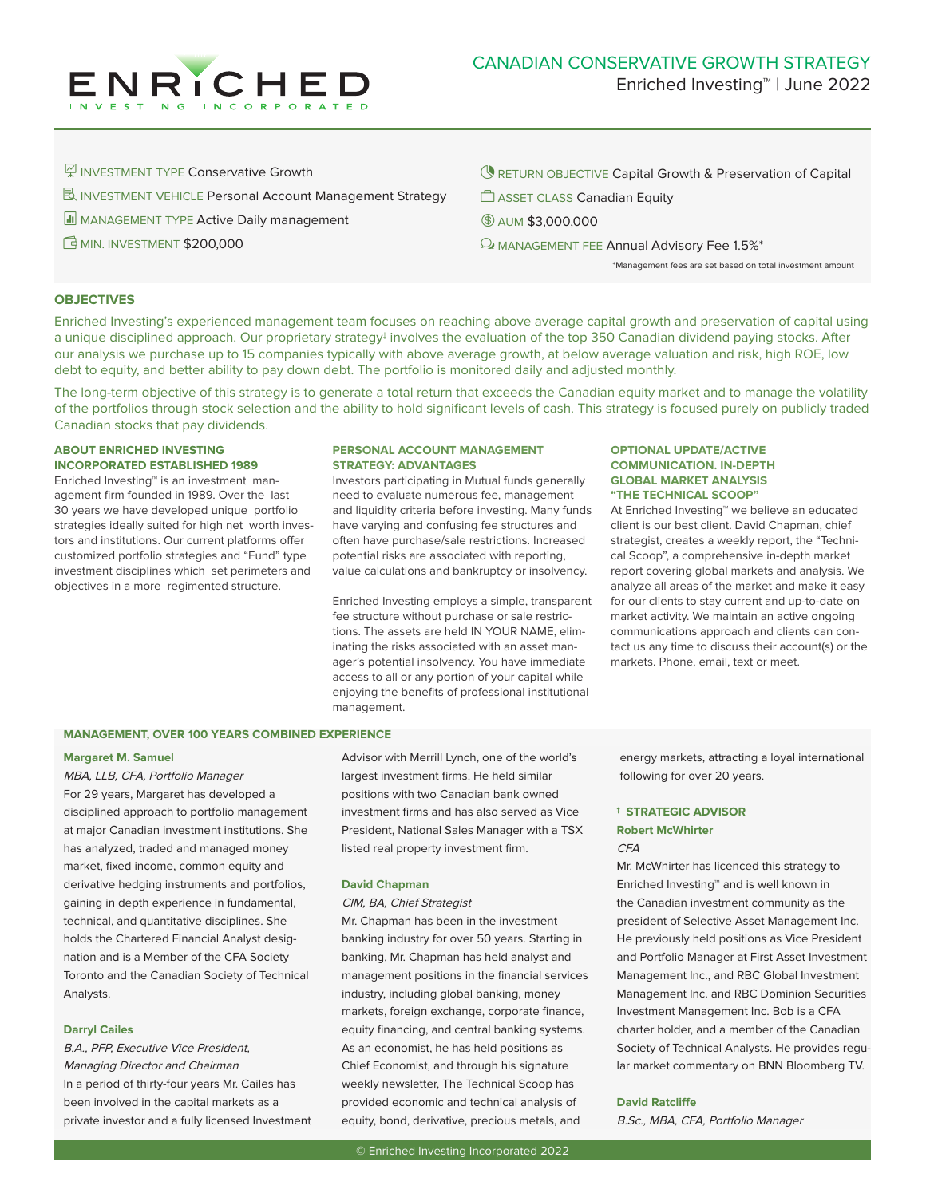

- **INVESTMENT TYPE Conservative Growth**
- INVESTMENT VEHICLE Personal Account Management Strategy
- **II** MANAGEMENT TYPE Active Daily management
- **E** MIN. INVESTMENT \$200,000
- **RETURN OBJECTIVE Capital Growth & Preservation of Capital**
- C ASSET CLASS Canadian Equity
- $$$  **AUM \$3,000,000**
- $\Omega$  MANAGEMENT FEE Annual Advisory Fee 1.5%\*

\*Management fees are set based on total investment amount

# **OBJECTIVES**

Enriched Investing's experienced management team focuses on reaching above average capital growth and preservation of capital using a unique disciplined approach. Our proprietary strategy<sup>‡</sup> involves the evaluation of the top 350 Canadian dividend paying stocks. After our analysis we purchase up to 15 companies typically with above average growth, at below average valuation and risk, high ROE, low debt to equity, and better ability to pay down debt. The portfolio is monitored daily and adjusted monthly.

The long-term objective of this strategy is to generate a total return that exceeds the Canadian equity market and to manage the volatility of the portfolios through stock selection and the ability to hold significant levels of cash. This strategy is focused purely on publicly traded Canadian stocks that pay dividends.

#### **ABOUT ENRICHED INVESTING INCORPORATED ESTABLISHED 1989**

Enriched Investing™ is an investment management firm founded in 1989. Over the last 30 years we have developed unique portfolio strategies ideally suited for high net worth investors and institutions. Our current platforms offer customized portfolio strategies and "Fund" type investment disciplines which set perimeters and objectives in a more regimented structure.

#### **PERSONAL ACCOUNT MANAGEMENT STRATEGY: ADVANTAGES**

Investors participating in Mutual funds generally need to evaluate numerous fee, management and liquidity criteria before investing. Many funds have varying and confusing fee structures and often have purchase/sale restrictions. Increased potential risks are associated with reporting, value calculations and bankruptcy or insolvency.

Enriched Investing employs a simple, transparent fee structure without purchase or sale restrictions. The assets are held IN YOUR NAME, eliminating the risks associated with an asset manager's potential insolvency. You have immediate access to all or any portion of your capital while enjoying the benefits of professional institutional management.

## **OPTIONAL UPDATE/ACTIVE COMMUNICATION. IN-DEPTH GLOBAL MARKET ANALYSIS "THE TECHNICAL SCOOP"**

At Enriched Investing™ we believe an educated client is our best client. David Chapman, chief strategist, creates a weekly report, the "Technical Scoop", a comprehensive in-depth market report covering global markets and analysis. We analyze all areas of the market and make it easy for our clients to stay current and up-to-date on market activity. We maintain an active ongoing communications approach and clients can contact us any time to discuss their account(s) or the markets. Phone, email, text or meet.

#### **MANAGEMENT, OVER 100 YEARS COMBINED EXPERIENCE**

### **Margaret M. Samuel**

MBA, LLB, CFA, Portfolio Manager For 29 years, Margaret has developed a disciplined approach to portfolio management at major Canadian investment institutions. She has analyzed, traded and managed money market, fixed income, common equity and derivative hedging instruments and portfolios, gaining in depth experience in fundamental, technical, and quantitative disciplines. She holds the Chartered Financial Analyst designation and is a Member of the CFA Society Toronto and the Canadian Society of Technical Analysts.

# **Darryl Cailes**

B.A., PFP, Executive Vice President, Managing Director and Chairman In a period of thirty-four years Mr. Cailes has been involved in the capital markets as a private investor and a fully licensed Investment Advisor with Merrill Lynch, one of the world's largest investment firms. He held similar positions with two Canadian bank owned investment firms and has also served as Vice President, National Sales Manager with a TSX listed real property investment firm.

#### **David Chapman**

## CIM, BA, Chief Strategist

Mr. Chapman has been in the investment banking industry for over 50 years. Starting in banking, Mr. Chapman has held analyst and management positions in the financial services industry, including global banking, money markets, foreign exchange, corporate finance, equity financing, and central banking systems. As an economist, he has held positions as Chief Economist, and through his signature weekly newsletter, The Technical Scoop has provided economic and technical analysis of equity, bond, derivative, precious metals, and

energy markets, attracting a loyal international following for over 20 years.

# **‡ STRATEGIC ADVISOR Robert McWhirter**  $CFA$

Mr. McWhirter has licenced this strategy to Enriched Investing™ and is well known in the Canadian investment community as the president of Selective Asset Management Inc. He previously held positions as Vice President and Portfolio Manager at First Asset Investment Management Inc., and RBC Global Investment Management Inc. and RBC Dominion Securities Investment Management Inc. Bob is a CFA charter holder, and a member of the Canadian Society of Technical Analysts. He provides regular market commentary on BNN Bloomberg TV.

#### **David Ratcliffe**

B.Sc., MBA, CFA, Portfolio Manager